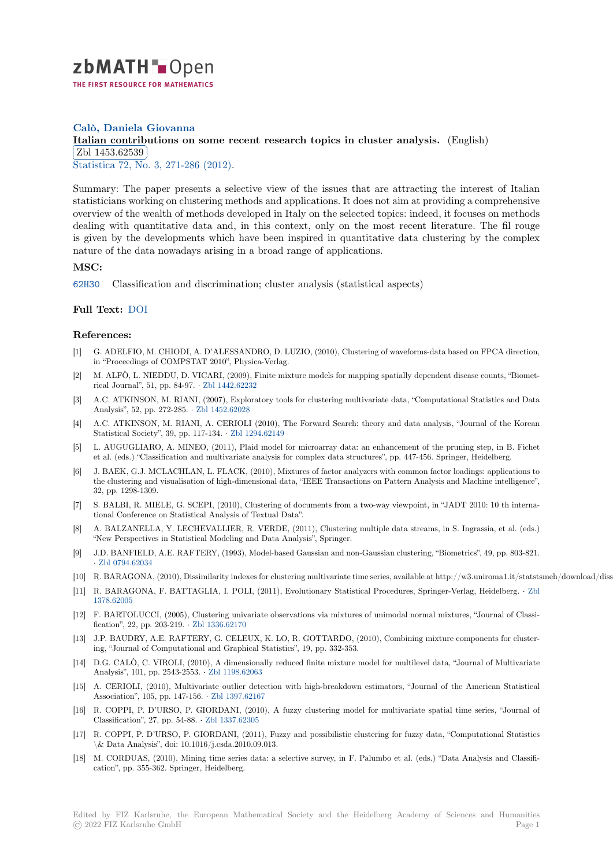

# **Calò, Daniela Giovanna**

# [I](https://zbmath.org/)talian contributions on some recent research topics in cluster analysis. (English) Zbl 1453.62539

<u>C<sub>D1</sub> 1466.62665</u><br>Statistica 72, No. 3, 271-286 (2012).

[Summary: The paper presents a selective view of the issues that are attracting](https://zbmath.org/1453.62539) the interest of Italian [statisticians worki](https://zbmath.org/1453.62539)ng on clustering methods and applications. It does not aim at providing a comprehensive [overview](https://zbmath.org/journals/?q=se:719) [of the wealth of methods d](https://zbmath.org/?q=in:458388)eveloped in Italy on the selected topics: indeed, it focuses on methods dealing with quantitative data and, in this context, only on the most recent literature. The fil rouge is given by the developments which have been inspired in quantitative data clustering by the complex nature of the data nowadays arising in a broad range of applications.

### **MSC:**

62H30 Classification and discrimination; cluster analysis (statistical aspects)

### **Full Text:** DOI

#### **[Refer](https://zbmath.org/classification/?q=cc:62H30)ences:**

- [1] G. ADELFIO, M. CHIODI, A. D'ALESSANDRO, D. LUZIO, (2010), Clustering of waveforms-data based on FPCA direction, in "Proce[edings](https://dx.doi.org/10.6092/issn.1973-2201/3647) of COMPSTAT 2010", Physica-Verlag.
- [2] M. ALFÒ, L. NIEDDU, D. VICARI, (2009), Finite mixture models for mapping spatially dependent disease counts, "Biometrical Journal", 51, pp. 84-97. *·* Zbl 1442.62232
- [3] A.C. ATKINSON, M. RIANI, (2007), Exploratory tools for clustering multivariate data, "Computational Statistics and Data Analysis", 52, pp. 272-285. *·* Zbl 1452.62028
- [4] A.C. ATKINSON, M. RIANI, A. CERIOLI (2010), The Forward Search: theory and data analysis, "Journal of the Korean Statistical Society", 39, pp. 117-134. *·* [Zbl 129](https://zbmath.org/1442.62232)4.62149
- [5] L. AUGUGLIARO, A. MINEO, (2011), Plaid model for microarray data: an enhancement of the pruning step, in B. Fichet et al. (eds.) "Classification a[nd multivariate](https://zbmath.org/1452.62028) analysis for complex data structures", pp. 447-456. Springer, Heidelberg.
- [6] J. BAEK, G.J. MCLACHLAN, L. FLACK, (2010), Mixtures of factor analyzers with common factor loadings: applications to the clustering and visualisation of hig[h-dimensional da](https://zbmath.org/1294.62149)ta, "IEEE Transactions on Pattern Analysis and Machine intelligence", 32, pp. 1298-1309.
- [7] S. BALBI, R. MIELE, G. SCEPI, (2010), Clustering of documents from a two-way viewpoint, in "JADT 2010: 10 th international Conference on Statistical Analysis of Textual Data".
- [8] A. BALZANELLA, Y. LECHEVALLIER, R. VERDE, (2011), Clustering multiple data streams, in S. Ingrassia, et al. (eds.) "New Perspectives in Statistical Modeling and Data Analysis", Springer.
- [9] J.D. BANFIELD, A.E. RAFTERY, (1993), Model-based Gaussian and non-Gaussian clustering, "Biometrics", 49, pp. 803-821. *·* Zbl 0794.62034
- [10] R. BARAGONA, (2010), Dissimilarity indexes for clustering multivariate time series, available at http://w3.uniroma1.it/statstsmeh/download/dissimilaritindex.pdf.
- [11] R. BARAGONA, F. BATTAGLIA, I. POLI, (2011), Evolutionary Statistical Procedures, Springer-Verlag, Heidelberg. *·* Zbl 1378.62005
- [12] F[. BARTOLUCC](https://zbmath.org/0794.62034)I, (2005), Clustering univariate observations via mixtures of unimodal normal mixtures, "Journal of Classification", 22, pp. 203-219. *·* Zbl 1336.62170
- [13] J.P. BAUDRY, A.E. RAFTERY, G. CELEUX, K. LO, R. GOTTARDO, (2010), Combining mixture components for clus[ter](https://zbmath.org/1378.62005)[ing, "Journa](https://zbmath.org/1378.62005)l of Computational and Graphical Statistics", 19, pp. 332-353.
- [14] D.G. CALÒ, C. VIROLI, (2010), A dimensionally reduced finite mixture model for multilevel data, "Journal of Multivariate Analysis", 101, pp. 2543-2553. *·* [Zbl 1198.62](https://zbmath.org/1336.62170)063
- [15] A. CERIOLI, (2010), Multivariate outlier detection with high-breakdown estimators, "Journal of the American Statistical Association", 105, pp. 147-156. *·* Zbl 1397.62167
- [16] R. COPPI, P. D'URSO, P. GIORDANI, (2010), A fuzzy clustering model for multivariate spatial time series, "Journal of Classification", 27, pp. 54-88. *·* [Zbl 1337.62305](https://zbmath.org/1198.62063)
- [17] R. COPPI, P. D'URSO, P. GIORDANI, (2011), Fuzzy and possibilistic clustering for fuzzy data, "Computational Statistics \& Data Analysis", doi: 10.1016[/j.csda.2010.09.0](https://zbmath.org/1397.62167)13.
- [18] M. CORDUAS, (2010), Mining time series data: a selective survey, in F. Palumbo et al. (eds.) "Data Analysis and Classification", pp. 355-362. Springer, [Heidelberg.](https://zbmath.org/1337.62305)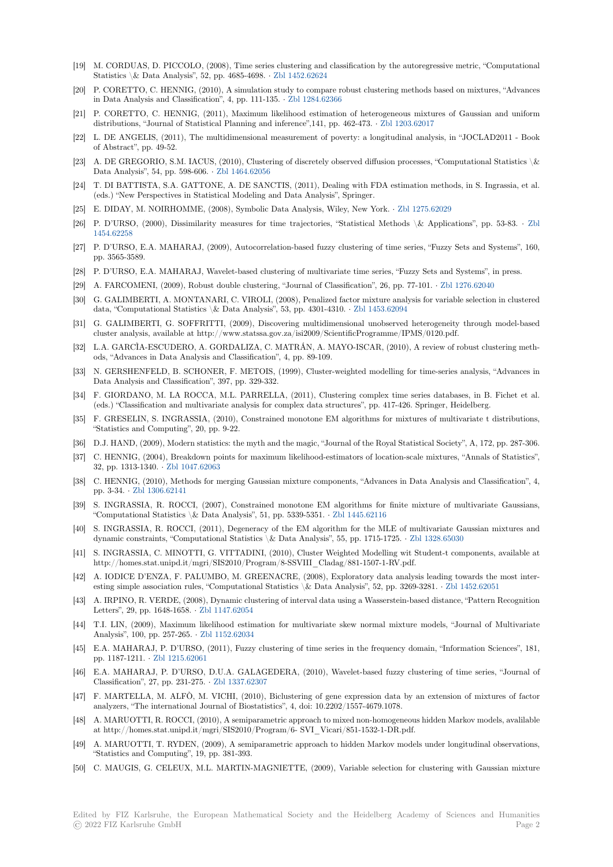- [19] M. CORDUAS, D. PICCOLO, (2008), Time series clustering and classification by the autoregressive metric, "Computational Statistics \& Data Analysis", 52, pp. 4685-4698. *·* Zbl 1452.62624
- [20] P. CORETTO, C. HENNIG, (2010), A simulation study to compare robust clustering methods based on mixtures, "Advances in Data Analysis and Classification", 4, pp. 111-135. *·* Zbl 1284.62366
- [21] P. CORETTO, C. HENNIG, (2011), Maximum likelihood estimation of heterogeneous mixtures of Gaussian and uniform distributions, "Journal of Statistical Planning and [inference",141,](https://zbmath.org/1452.62624) pp. 462-473. *·* Zbl 1203.62017
- [22] L. DE ANGELIS, (2011), The multidimensional measurement of poverty: a longitudinal analysis, in "JOCLAD2011 Book of Abstract", pp. 49-52.
- [23] A. DE GREGORIO, S.M. IACUS, (2010), Clustering of discretely observed diffusion processes, "Computational Statistics \& Data Analysis", 54, pp. 598-606. *·* Zbl 1464.62056
- [24] T. DI BATTISTA, S.A. GATTONE, A. DE SANCTIS, (2011), Dealing with FDA estimation methods, in S. Ingrassia, et al. (eds.) "New Perspectives in Statistical Modeling and Data Analysis", Springer.
- [25] E. DIDAY, M. NOIRHOMME, (2008), Symbolic Data Analysis, Wiley, New York. *·* Zbl 1275.62029
- [26] P. D'URSO, (2000), Dissimilarit[y measures for t](https://zbmath.org/1464.62056)ime trajectories, "Statistical Methods \& Applications", pp. 53-83. *·* Zbl 1454.62258
- [27] P. D'URSO, E.A. MAHARAJ, (2009), Autocorrelation-based fuzzy clustering of time series, "Fuzzy Sets and Systems", 160, pp. 3565-3589.
- [28] P. D'URSO, E.A. MAHARAJ, Wavelet-based clustering of multivariate time series, "Fuzzy Sets and Systems", in press.
- [29] [A. FARCO](https://zbmath.org/1454.62258)MENI, (2009), Robust double clustering, "Journal of Classification", 26, pp. 77-101. *·* Zbl 1276.62040
- [30] G. GALIMBERTI, A. MONTANARI, C. VIROLI, (2008), Penalized factor mixture analysis for variable selection in clustered data, "Computational Statistics \& Data Analysis", 53, pp. 4301-4310. *·* Zbl 1453.62094
- [31] G. GALIMBERTI, G. SOFFRITTI, (2009), Discovering multidimensional unobserved heterogeneity through model-based cluster analysis, available at http://www.statssa.gov.za/isi2009/ScientificProgramme/IPMS/012[0.pdf.](https://zbmath.org/1276.62040)
- [32] L.A. GARCÌA-ESCUDERO, A. GORDALIZA, C. MATRÁN, A. MAYO-ISCAR, (2010), A review of robust clustering methods, "Advances in Data Analysis and Classification", 4, pp. 89-109.
- [33] N. GERSHENFELD, B. SCHONER, F. METOIS, (1999), Cluster-weighted modelling for time-series analysis, "Advances in Data Analysis and Classification", 397, pp. 329-332.
- [34] F. GIORDANO, M. LA ROCCA, M.L. PARRELLA, (2011), Clustering complex time series databases, in B. Fichet et al. (eds.) "Classification and multivariate analysis for complex data structures", pp. 417-426. Springer, Heidelberg.
- [35] F. GRESELIN, S. INGRASSIA, (2010), Constrained monotone EM algorithms for mixtures of multivariate t distributions, "Statistics and Computing", 20, pp. 9-22.
- [36] D.J. HAND, (2009), Modern statistics: the myth and the magic, "Journal of the Royal Statistical Society", A, 172, pp. 287-306.
- [37] C. HENNIG, (2004), Breakdown points for maximum likelihood-estimators of location-scale mixtures, "Annals of Statistics", 32, pp. 1313-1340. *·* Zbl 1047.62063
- [38] C. HENNIG, (2010), Methods for merging Gaussian mixture components, "Advances in Data Analysis and Classification", 4, pp. 3-34. *·* Zbl 1306.62141
- [39] S. INGRASSIA, R. ROCCI, (2007), Constrained monotone EM algorithms for finite mixture of multivariate Gaussians, "Computational Sta[tistics \& Data](https://zbmath.org/1047.62063) Analysis", 51, pp. 5339-5351. *·* Zbl 1445.62116
- [40] S. INGRASSIA, R. ROCCI, (2011), Degeneracy of the EM algorithm for the MLE of multivariate Gaussian mixtures and dynamic c[onstraints, "Com](https://zbmath.org/1306.62141)putational Statistics \& Data Analysis", 55, pp. 1715-1725. *·* Zbl 1328.65030
- [41] S. INGRASSIA, C. MINOTTI, G. VITTADINI, (2010), Cluster Weighted Modelling wit Student-t components, available at http://homes.stat.unipd.it/mgri/SIS2010/Program/8-SSVIII\_Cla[dag/881-1507-1-](https://zbmath.org/1445.62116)RV.pdf.
- [42] A. IODICE D'ENZA, F. PALUMBO, M. GREENACRE, (2008), Exploratory data analysis leading towards the most interesting simple association rules, "Computational Statistics \& Data Analysis", 52, pp. 32[69-3281.](https://zbmath.org/1328.65030) *·* Zbl 1452.62051
- [43] A. IRPINO, R. VERDE, (2008), Dynamic clustering of interval data using a Wasserstein-based distance, "Pattern Recognition Letters", 29, pp. 1648-1658. *·* Zbl 1147.62054
- [44] T.I. LIN, (2009), Maximum likelihood estimation for multivariate skew normal mixture models, "Journal of Multivariate Analysis", 100, pp. 257-265. *·* Zbl 1152.62034
- [45] E.A. MAHARAJ, P. D'URSO, (2011), Fuzzy clustering of time series in the frequency domain, "Information Sciences", 181, pp. 1187-1211. *·* Zbl 1215.620[61](https://zbmath.org/1147.62054)
- [46] E.A. MAHARAJ, P. D'URSO, D.U.A. GALAGEDERA, (2010), Wavelet-based fuzzy clustering of time series, "Journal of Classification", 27, pp. 231-275. *·* [Zbl 1337.62](https://zbmath.org/1152.62034)307
- [47] F. MARTELLA, M. ALFÒ, M. VICHI, (2010), Biclustering of gene expression data by an extension of mixtures of factor analyzers, "The [international Jo](https://zbmath.org/1215.62061)urnal of Biostatistics", 4, doi: 10.2202/1557-4679.1078.
- [48] A. MARUOTTI, R. ROCCI, (2010), A semiparametric approach to mixed non-homogeneous hidden Markov models, avalilable at http://homes.stat.unipd.it/m[gri/SIS2010/Pro](https://zbmath.org/1337.62307)gram/6- SVI\_Vicari/851-1532-1-DR.pdf.
- [49] A. MARUOTTI, T. RYDEN, (2009), A semiparametric approach to hidden Markov models under longitudinal observations, "Statistics and Computing", 19, pp. 381-393.
- [50] C. MAUGIS, G. CELEUX, M.L. MARTIN-MAGNIETTE, (2009), Variable selection for clustering with Gaussian mixture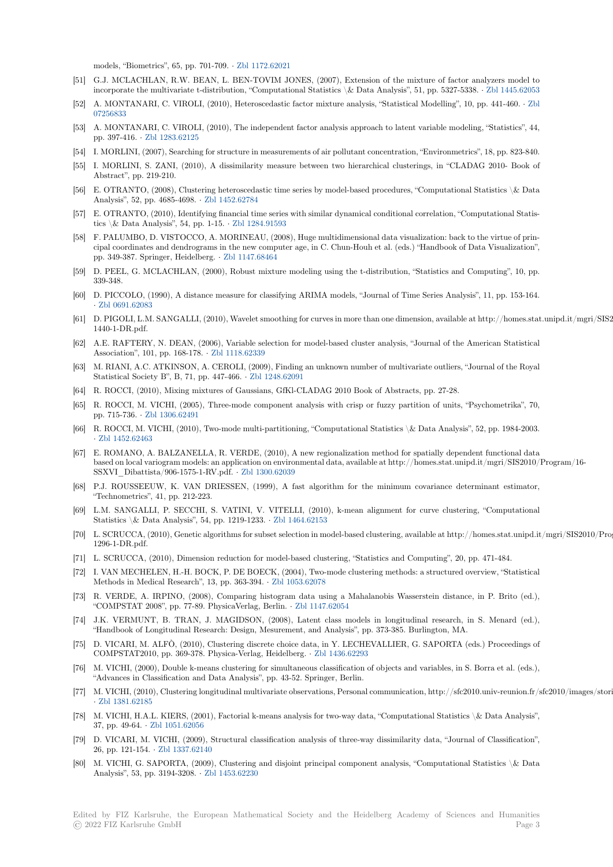models, "Biometrics", 65, pp. 701-709. *·* Zbl 1172.62021

- [51] G.J. MCLACHLAN, R.W. BEAN, L. BEN-TOVIM JONES, (2007), Extension of the mixture of factor analyzers model to incorporate the multivariate t-distribution, "Computational Statistics \& Data Analysis", 51, pp. 5327-5338. *·* Zbl 1445.62053
- [52] A. MONTANARI, C. VIROLI, (2010), Heteroscedastic factor mixture analysis, "Statistical Modelling", 10, pp. 441-460. *·* Zbl 07256833
- [53] A. MONTANARI, C. VIROLI, (2010), The independent factor analysis approach to latent variable modeling, "Statistics", 44, pp. 397-416. *·* Zbl 1283.62125
- [54] I. MORLINI, (2007), Searching for structure in measurements of air pollutant concentration, "Environmetrics", 18, pp. 823-[840.](https://zbmath.org/07256833)
- [55] [I. MORL](https://zbmath.org/07256833)INI, S. ZANI, (2010), A dissimilarity measure between two hierarchical clusterings, in "CLADAG 2010- Book of Abstract", pp. 219-210.
- [56] E. OTRANT[O, \(2008\), Cluste](https://zbmath.org/1283.62125)ring heteroscedastic time series by model-based procedures, "Computational Statistics \& Data Analysis", 52, pp. 4685-4698. *·* Zbl 1452.62784
- [57] E. OTRANTO, (2010), Identifying financial time series with similar dynamical conditional correlation, "Computational Statistics \& Data Analysis", 54, pp. 1-15. *·* Zbl 1284.91593
- [58] F. PALUMBO, D. VISTOCCO, A. MORINEAU, (2008), Huge multidimensional data visualization: back to the virtue of principal coordinates and dendrogr[ams in the new](https://zbmath.org/1452.62784) computer age, in C. Chun-Houh et al. (eds.) "Handbook of Data Visualization", pp. 349-387. Springer, Heidelberg. *·* Zbl 1147.68464
- [59] D. PEEL, G. MCLACHLAN, (2000), [Robust mixture](https://zbmath.org/1284.91593) modeling using the t-distribution, "Statistics and Computing", 10, pp. 339-348.
- [60] D. PICCOLO, (1990), A distance measure for classifying ARIMA models, "Journal of Time Series Analysis", 11, pp. 153-164. *·* Zbl 0691.62083
- [61] D. PIGOLI, L.M. SANGALLI, (2010), Wavelet smoothing for curves in more than one dimension, available at http://homes.stat.unipd.it/mgri/SIS2010/ 1440-1-DR.pdf.
- [62] A.E. RAFTERY, N. DEAN, (2006), Variable selection for model-based cluster analysis, "Journal of the American Statistical [Association", 101](https://zbmath.org/0691.62083), pp. 168-178. *·* Zbl 1118.62339
- [63] M. RIANI, A.C. ATKINSON, A. CEROLI, (2009), Finding an unknown number of multivariate outliers, "Journal of the Royal Statistical Society B", B, 71, pp. 447-466. *·* Zbl 1248.62091
- [64] R. ROCCI, (2010), Mixing mixtures of Gaussians, GfKl-CLADAG 2010 Book of Abstracts, pp. 27-28.
- [65] R. ROCCI, M. VICHI, (2005), [Three-mode com](https://zbmath.org/1118.62339)ponent analysis with crisp or fuzzy partition of units, "Psychometrika", 70, pp. 715-736. *·* Zbl 1306.62491
- [66] R. ROCCI, M. VICHI, (2010), Two-mode m[ulti-partitioning](https://zbmath.org/1248.62091), "Computational Statistics \& Data Analysis", 52, pp. 1984-2003. *·* Zbl 1452.62463
- [67] E. ROMANO, A. BALZANELLA, R. VERDE, (2010), A new regionalization method for spatially dependent functional data based on local [variogram mode](https://zbmath.org/1306.62491)ls: an application on environmental data, available at http://homes.stat.unipd.it/mgri/SIS2010/Program/16- SSXVI\_Dibattista/906-1575-1-RV.pdf. *·* Zbl 1300.62039
- [68] [P.J. ROUSSEEU](https://zbmath.org/1452.62463)W, K. VAN DRIESSEN, (1999), A fast algorithm for the minimum covariance determinant estimator, "Technometrics", 41, pp. 212-223.
- [69] L.M. SANGALLI, P. SECCHI, S. VATINI, V. VITELLI, (2010), k-mean alignment for curve clustering, "Computational Statistics \& Data Analysis", 54, pp. 121[9-1233.](https://zbmath.org/1300.62039) *·* Zbl 1464.62153
- [70] L. SCRUCCA, (2010), Genetic algorithms for subset selection in model-based clustering, available at http://homes.stat.unipd.it/mgri/SIS2010/Program 1296-1-DR.pdf.
- [71] L. SCRUCCA, (2010), Dimension reduction for model-based clustering, "Statistics and Computing", 20, pp. 471-484.
- [72] I. VAN MECHELEN, H.-H. BOCK, P. DE BOEC[K, \(2004\), Two-m](https://zbmath.org/1464.62153)ode clustering methods: a structured overview, "Statistical Methods in Medical Research", 13, pp. 363-394. *·* Zbl 1053.62078
- [73] R. VERDE, A. IRPINO, (2008), Comparing histogram data using a Mahalanobis Wasserstein distance, in P. Brito (ed.), "COMPSTAT 2008", pp. 77-89. PhysicaVerlag, Berlin. *·* Zbl 1147.62054
- [74] J.K. VERMUNT, B. TRAN, J. MAGIDSON, (2008), Latent class models in longitudinal research, in S. Menard (ed.), "Handbook of Longitudinal Research: Design, Me[surement, and A](https://zbmath.org/1053.62078)nalysis", pp. 373-385. Burlington, MA.
- [75] D. VICARI, M. ALFÒ, (2010), Clustering discrete choice data, in Y. LECHEVALLIER, G. SAPORTA (eds.) Proceedings of COMPSTAT2010, pp. 369-378. Physica-Verlag, Heidelberg. *·* [Zbl 1436.6](https://zbmath.org/1147.62054)2293
- [76] M. VICHI, (2000), Double k-means clustering for simultaneous classification of objects and variables, in S. Borra et al. (eds.), "Advances in Classification and Data Analysis", pp. 43-52. Springer, Berlin.
- [77] M. VICHI, (2010), Clustering longitudinal multivariate observations, Personal communication, http://sfc2010.univ-reunion.fr/sfc2010/images/stories/p *·* Zbl 1381.62185
- [78] M. VICHI, H.A.L. KIERS, (2001), Factorial k-means analysis for two-way data, "Computational Statistics \& Data Analysis", 37, pp. 49-64. *·* Zbl 1051.62056
- [79] D. VICARI, M. VICHI, (2009), Structural classification analysis of three-way dissimilarity data, "Journal of Classification", 2[6, pp. 121-154.](https://zbmath.org/1381.62185) *·* Zbl 1337.62140
- [80] M. VICHI, G. SAPORTA, (2009), Clustering and disjoint principal component analysis, "Computational Statistics \& Data Analysis", 53,p[p. 3194-3208.](https://zbmath.org/1051.62056) *·* Zbl 1453.62230